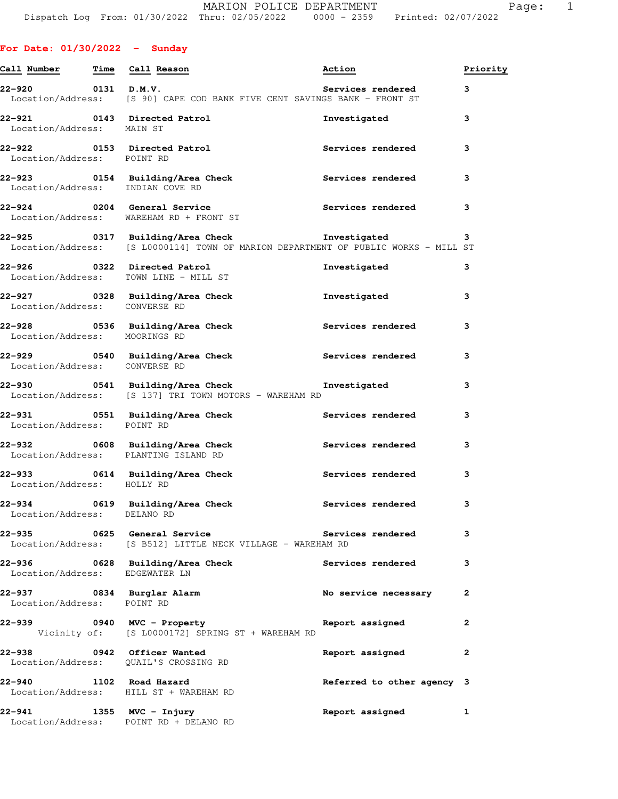# **For Date: 01/30/2022 - Sunday**

| Call Number                                                                                                 | Time Call Reason                                                                                                                              | Priority<br>Action         |              |
|-------------------------------------------------------------------------------------------------------------|-----------------------------------------------------------------------------------------------------------------------------------------------|----------------------------|--------------|
| 22–920 0131 D.M.V.                                                                                          | Location/Address: [S 90] CAPE COD BANK FIVE CENT SAVINGS BANK - FRONT ST                                                                      | Services rendered          | 3            |
| Location/Address: MAIN ST                                                                                   | 22-921 0143 Directed Patrol                                                                                                                   | Investigated               | 3            |
| Location/Address: POINT RD                                                                                  | 22-922 0153 Directed Patrol                                                                                                                   | Services rendered          | 3            |
|                                                                                                             | 22-923 0154 Building/Area Check Services rendered<br>Location/Address: INDIAN COVE RD                                                         |                            | 3            |
|                                                                                                             | 22-924 0204 General Service<br>Location/Address: WAREHAM RD + FRONT ST                                                                        | Services rendered          | 3            |
|                                                                                                             | 22-925 0317 Building/Area Check <b>The Investigated</b><br>Location/Address: [S L0000114] TOWN OF MARION DEPARTMENT OF PUBLIC WORKS - MILL ST |                            | 3            |
|                                                                                                             | 22-926 0322 Directed Patrol<br>Location/Address: TOWN LINE - MILL ST                                                                          | Investigated               | 3            |
| Location/Address: CONVERSE RD                                                                               | 22-927 0328 Building/Area Check                                                                                                               | Investigated               | 3            |
| Location/Address: MOORINGS RD                                                                               | 22-928 0536 Building/Area Check                                                                                                               | <b>Services rendered</b>   | 3            |
| Location/Address: CONVERSE RD                                                                               | 22-929 		 0540 Building/Area Check 		 Services rendered                                                                                       |                            | 3            |
|                                                                                                             | 22-930 0541 Building/Area Check <b>The Investigated</b><br>Location/Address: [S 137] TRI TOWN MOTORS - WAREHAM RD                             |                            | 3            |
| Location/Address: POINT RD                                                                                  | 22-931 0551 Building/Area Check <b>Services</b> rendered                                                                                      |                            | 3            |
|                                                                                                             | 22-932 0608 Building/Area Check <b>Services</b> rendered<br>Location/Address: PLANTING ISLAND RD                                              |                            | 3            |
| Location/Address: HOLLY RD                                                                                  | 22-933 0614 Building/Area Check                                                                                                               | <b>Services rendered</b>   | 3            |
| 22–934                                                                                                      | 0619 Building/Area Check Services rendered<br>Location/Address: DELANO RD                                                                     |                            | 3            |
| 22-935 година и селото на селото на селото на селото на селото на селото на селото на селото на селото на с | 0625 General Service<br>Location/Address: [S B512] LITTLE NECK VILLAGE - WAREHAM RD                                                           | <b>Services rendered</b>   | 3            |
| Location/Address: EDGEWATER LN                                                                              | 22-936 0628 Building/Area Check                                                                                                               | Services rendered          | 3            |
| 22-937 0834 Burglar Alarm<br>Location/Address: POINT RD                                                     |                                                                                                                                               | No service necessary       | 2            |
|                                                                                                             | 22-939 0940 MVC - Property<br>Vicinity of: [S L0000172] SPRING ST + WAREHAM RD                                                                | Report assigned            | $\mathbf{2}$ |
| 22-938 0942 Officer Wanted                                                                                  | Location/Address: QUAIL'S CROSSING RD                                                                                                         | Report assigned            | 2            |
| 22-940                                                                                                      | 1102 Road Hazard<br>Location/Address: HILL ST + WAREHAM RD                                                                                    | Referred to other agency 3 |              |
| 22-941 1355 MVC - Injury                                                                                    | Location/Address: POINT RD + DELANO RD                                                                                                        | Report assigned            | 1            |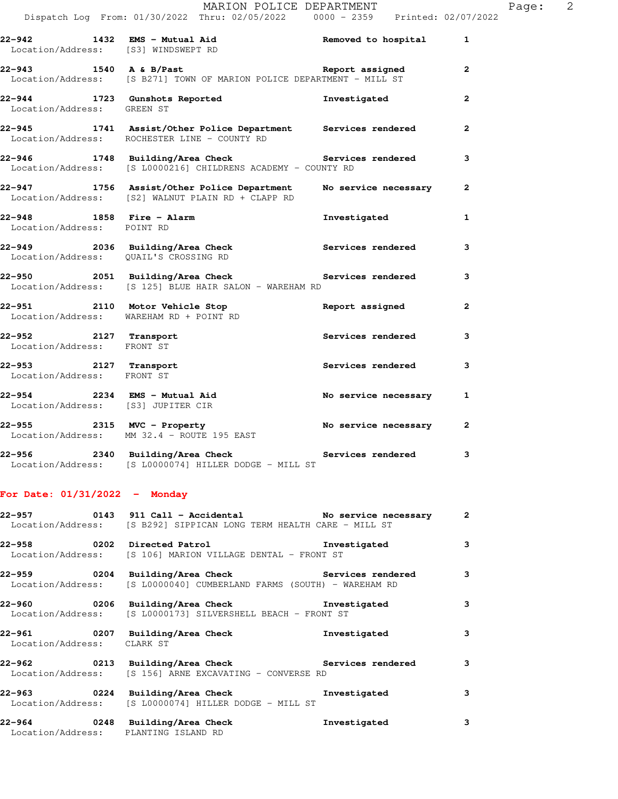|                                                        |                                                                                                                                                | MARION POLICE DEPARTMENT |                | Page: | $\overline{\phantom{0}}^2$ |
|--------------------------------------------------------|------------------------------------------------------------------------------------------------------------------------------------------------|--------------------------|----------------|-------|----------------------------|
|                                                        | Dispatch Log From: 01/30/2022 Thru: 02/05/2022   0000 - 2359   Printed: 02/07/2022                                                             |                          |                |       |                            |
|                                                        | 22-942 1432 EMS - Mutual Aid Contract Removed to hospital 1<br>Location/Address: [S3] WINDSWEPT RD                                             |                          |                |       |                            |
|                                                        | 22-943 1540 A & B/Past 22-943 Report assigned<br>Location/Address: [S B271] TOWN OF MARION POLICE DEPARTMENT - MILL ST                         |                          | $\mathbf{2}$   |       |                            |
| Location/Address: GREEN ST                             | 22-944 1723 Gunshots Reported                                                                                                                  | Investigated             | $\overline{2}$ |       |                            |
|                                                        | 22-945 1741 Assist/Other Police Department Services rendered<br>Location/Address: ROCHESTER LINE - COUNTY RD                                   |                          | $\mathbf{2}$   |       |                            |
|                                                        | 22-946 1748 Building/Area Check Services rendered<br>Location/Address: [S L0000216] CHILDRENS ACADEMY - COUNTY RD                              |                          | 3              |       |                            |
|                                                        | 22-947 1756 Assist/Other Police Department No service necessary<br>Location/Address: [S2] WALNUT PLAIN RD + CLAPP RD                           |                          | $\mathbf{2}$   |       |                            |
| 22-948 1858 Fire - Alarm<br>Location/Address: POINT RD |                                                                                                                                                | Investigated             | $\mathbf{1}$   |       |                            |
|                                                        | 22-949 2036 Building/Area Check and Services rendered<br>Location/Address: QUAIL'S CROSSING RD                                                 |                          | 3              |       |                            |
|                                                        | 22-950 2051 Building/Area Check 20 Services rendered<br>Location/Address: [S 125] BLUE HAIR SALON - WAREHAM RD                                 |                          | 3              |       |                            |
|                                                        | 22-951 2110 Motor Vehicle Stop<br>Location/Address: WAREHAM RD + POINT RD                                                                      | Report assigned          | $\overline{2}$ |       |                            |
| Location/Address: FRONT ST                             | 22-952 2127 Transport                                                                                                                          | Services rendered        | 3              |       |                            |
| Location/Address: FRONT ST                             | $22-953$ 2127 Transport                                                                                                                        | Services rendered        | 3              |       |                            |
| Location/Address: [S3] JUPITER CIR                     | 22-954 2234 EMS - Mutual Aid<br>The state of the second track the second track of the second track the second track of the second track of the |                          | 1              |       |                            |
|                                                        | $22-955$ 2315 MVC - Property<br>Location/Address: MM 32.4 - ROUTE 195 EAST                                                                     | No service necessary     | $\overline{2}$ |       |                            |
|                                                        |                                                                                                                                                |                          |                |       |                            |

**22-956 2340 Building/Area Check Services rendered 3**  Location/Address: [S L0000074] HILLER DODGE - MILL ST

# **For Date: 01/31/2022 - Monday**

|                                      | 22-957 0143 911 Call - Accidental No service necessary 2<br>Location/Address: [S B292] SIPPICAN LONG TERM HEALTH CARE - MILL ST |              |              |
|--------------------------------------|---------------------------------------------------------------------------------------------------------------------------------|--------------|--------------|
|                                      | 22-958 0202 Directed Patrol <b>122-958</b> Investigated<br>Location/Address: [S 106] MARION VILLAGE DENTAL - FRONT ST           |              | $\mathbf{3}$ |
|                                      | Location/Address: [S L0000040] CUMBERLAND FARMS (SOUTH) - WAREHAM RD                                                            |              | $\mathbf{3}$ |
|                                      | 22-960       0206  Building/Area Check          Investigated<br>Location/Address: [S L0000173] SILVERSHELL BEACH - FRONT ST     |              | 3            |
| Location/Address: CLARK ST           | 22-961 0207 Building/Area Check <b>The Investigated</b>                                                                         |              | 3            |
|                                      | 22-962 		 0213 Building/Area Check 		 Services rendered<br>Location/Address: [S 156] ARNE EXCAVATING - CONVERSE RD              |              | 3            |
|                                      | Location/Address: [S L0000074] HILLER DODGE - MILL ST                                                                           |              | 3            |
| Location/Address: PLANTING ISLAND RD | 22-964 0248 Building/Area Check                                                                                                 | Investigated | 3            |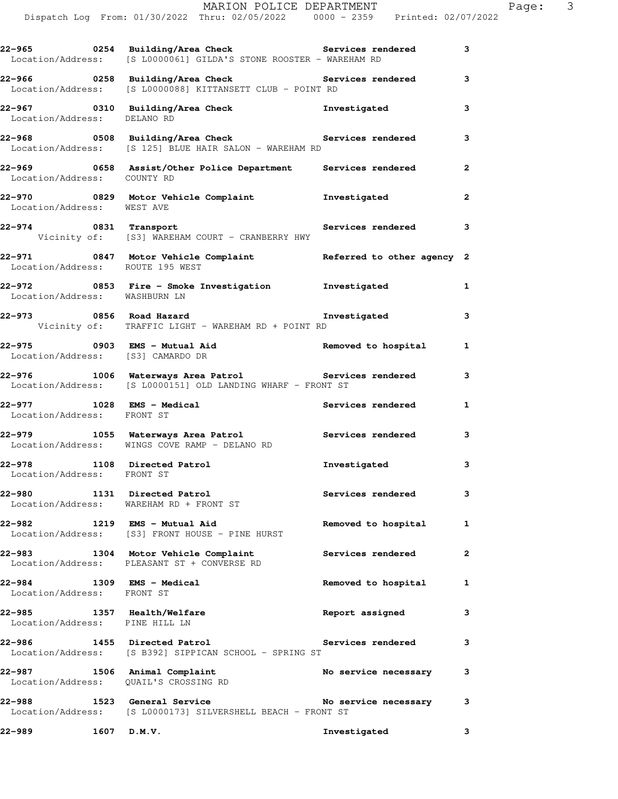|                                                                       | 22-965 0254 Building/Area Check 5ervices rendered 3<br>Location/Address: [S L0000061] GILDA'S STONE ROOSTER - WAREHAM RD       |                          |              |  |
|-----------------------------------------------------------------------|--------------------------------------------------------------------------------------------------------------------------------|--------------------------|--------------|--|
|                                                                       | 22-966       0258  Building/Area Check          Services rendered<br>Location/Address: [S L0000088] KITTANSETT CLUB - POINT RD |                          |              |  |
| Location/Address: DELANO RD                                           | 22-967 0310 Building/Area Check <b>The Investigated</b>                                                                        |                          |              |  |
|                                                                       | 22-968 0508 Building/Area Check Services rendered<br>Location/Address: [S 125] BLUE HAIR SALON - WAREHAM RD                    |                          | 3            |  |
| Location/Address: COUNTY RD                                           | 22-969 		 0658 Assist/Other Police Department Services rendered                                                                |                          | $\mathbf{2}$ |  |
| Location/Address: WEST AVE                                            | 22-970 0829 Motor Vehicle Complaint <b>1</b> nvestigated                                                                       |                          | $\mathbf{2}$ |  |
| 22-974 0831 Transport                                                 | Vicinity of: [S3] WAREHAM COURT - CRANBERRY HWY                                                                                | Services rendered 3      |              |  |
| Location/Address: ROUTE 195 WEST                                      | 22-971 0847 Motor Vehicle Complaint Referred to other agency 2                                                                 |                          |              |  |
| Location/Address: WASHBURN LN                                         | 22-972 0853 Fire - Smoke Investigation 1nvestigated                                                                            |                          | 1            |  |
|                                                                       | 22-973 0856 Road Hazard<br>Vicinity of: TRAFFIC LIGHT - WAREHAM RD + POINT RD                                                  | Investigated             | 3            |  |
| Location/Address: [S3] CAMARDO DR                                     | 22-975 0903 EMS - Mutual Aid<br>The California (23) CAMADDO DD                                                                 |                          | $\mathbf{1}$ |  |
|                                                                       | 22-976 1006 Waterways Area Patrol <b>120 Services</b> rendered<br>Location/Address: [S L0000151] OLD LANDING WHARF - FRONT ST  |                          | 3            |  |
| Location/Address: FRONT ST                                            | 22-977 1028 EMS - Medical and Services rendered                                                                                |                          | $\mathbf{1}$ |  |
|                                                                       | 22-979 1055 Waterways Area Patrol 100 Services rendered<br>Location/Address: WINGS COVE RAMP - DELANO RD                       |                          | 3            |  |
| 22-978 1108 Directed Patrol<br>Location/Address: FRONT ST             |                                                                                                                                | Investigated             | 3            |  |
| 22-980                                                                | 1131 Directed Patrol<br>Location/Address: WAREHAM RD + FRONT ST                                                                | <b>Services rendered</b> | 3            |  |
| 22-982 1219 EMS - Mutual Aid                                          | Location/Address: [S3] FRONT HOUSE - PINE HURST                                                                                | Removed to hospital      | 1            |  |
| 22-983                                                                | 1304 Motor Vehicle Complaint<br>Location/Address: PLEASANT ST + CONVERSE RD                                                    | <b>Services rendered</b> | $\mathbf{2}$ |  |
| 22–984<br>Location/Address: FRONT ST                                  | 1309 EMS - Medical                                                                                                             | Removed to hospital      | 1            |  |
| 22-985 1357 Health/Welfare<br>Location/Address: PINE HILL LN          |                                                                                                                                | Report assigned          | 3            |  |
| 22-986                                                                | 1455 Directed Patrol<br>Location/Address: [S B392] SIPPICAN SCHOOL - SPRING ST                                                 | Services rendered        | 3            |  |
| 22-987 1506 Animal Complaint<br>Location/Address: QUAIL'S CROSSING RD |                                                                                                                                | No service necessary     | 3            |  |
| 22-988                                                                | 1523 General Service<br>Location/Address: [S L0000173] SILVERSHELL BEACH - FRONT ST                                            | No service necessary     | 3            |  |
| 22–989<br>$1607$ D.M.V.                                               |                                                                                                                                | Investigated             | 3            |  |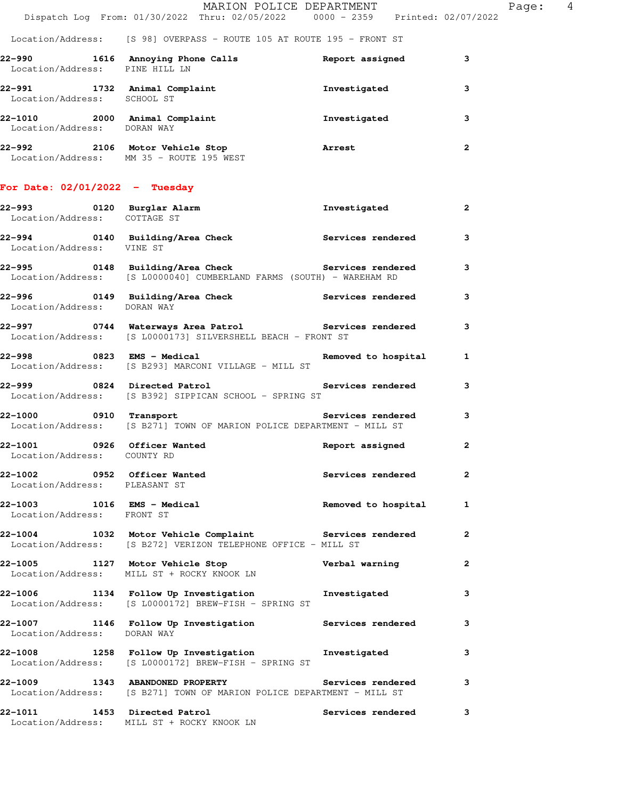| 22–990<br>Location/Address:  | 1616 | Annoving Phone Calls<br>PINE HILL LN         | Report assigned | 3 |
|------------------------------|------|----------------------------------------------|-----------------|---|
| 22–991<br>Location/Address:  | 1732 | Animal Complaint<br>SCHOOL ST                | Investigated    | 3 |
| 22-1010<br>Location/Address: | 2000 | Animal Complaint<br>DORAN WAY                | Investigated    |   |
| 22–992<br>Location/Address:  | 2106 | Motor Vehicle Stop<br>MM 35 - ROUTE 195 WEST | Arrest          | 2 |

### **For Date: 02/01/2022 - Tuesday**

| 22-993 0120 Burglar Alarm<br>Location/Address: COTTAGE ST    |                                                                                                             | Investigated          | $\mathbf{2}$            |
|--------------------------------------------------------------|-------------------------------------------------------------------------------------------------------------|-----------------------|-------------------------|
|                                                              | 22-994 0140 Building/Area Check Services rendered 3<br>Location/Address: VINE ST                            |                       |                         |
| 22-995                                                       | 0148 Building/Area Check<br>Location/Address: [S L0000040] CUMBERLAND FARMS (SOUTH) - WAREHAM RD            | Services rendered 3   |                         |
| Location/Address: DORAN WAY                                  | 22-996 0149 Building/Area Check                                                                             | Services rendered 3   |                         |
| 22-997                                                       | 0744 Waterways Area Patrol Services rendered<br>Location/Address: [S L0000173] SILVERSHELL BEACH - FRONT ST |                       | $\overline{\mathbf{3}}$ |
| 22-998 0823 EMS - Medical                                    | Location/Address: [S B293] MARCONI VILLAGE - MILL ST                                                        | Removed to hospital 1 |                         |
|                                                              | 22-999 0824 Directed Patrol S<br>Location/Address: [S B392] SIPPICAN SCHOOL - SPRING ST                     | Services rendered     | $\mathbf{3}$            |
| 22-1000 0910 Transport                                       | Location/Address: [S B271] TOWN OF MARION POLICE DEPARTMENT - MILL ST                                       | Services rendered     | $\overline{\mathbf{3}}$ |
| 22-1001 0926 Officer Wanted<br>Location/Address: COUNTY RD   |                                                                                                             | Report assigned       | $\overline{\mathbf{2}}$ |
| 22-1002 0952 Officer Wanted<br>Location/Address: PLEASANT ST |                                                                                                             | Services rendered     | $\overline{\mathbf{2}}$ |
| Location/Address: FRONT ST                                   | 22-1003 1016 EMS - Medical                                                                                  | Removed to hospital 1 |                         |
| 22-1004                                                      | 1032 Motor Vehicle Complaint<br>Location/Address: [S B272] VERIZON TELEPHONE OFFICE - MILL ST               | Services rendered 2   |                         |
|                                                              | 22-1005 1127 Motor Vehicle Stop Verbal warning<br>Location/Address: MILL ST + ROCKY KNOOK LN                |                       | $\overline{\mathbf{2}}$ |
|                                                              | 22-1006 1134 Follow Up Investigation Investigated<br>Location/Address: [S L0000172] BREW-FISH - SPRING ST   |                       | 3                       |
| Location/Address: DORAN WAY                                  | 22-1007 1146 Follow Up Investigation Services rendered                                                      |                       | $\mathbf{3}$            |
|                                                              | 22-1008 1258 Follow Up Investigation 1nvestigated<br>Location/Address: [S L0000172] BREW-FISH - SPRING ST   |                       | 3                       |
| 22-1009 1343 ABANDONED PROPERTY                              | Location/Address: [S B271] TOWN OF MARION POLICE DEPARTMENT - MILL ST                                       | Services rendered     | $\overline{\mathbf{3}}$ |
| 22-1011                                                      | 1453 Directed Patrol<br>Location/Address: MILL ST + ROCKY KNOOK LN                                          | Services rendered 3   |                         |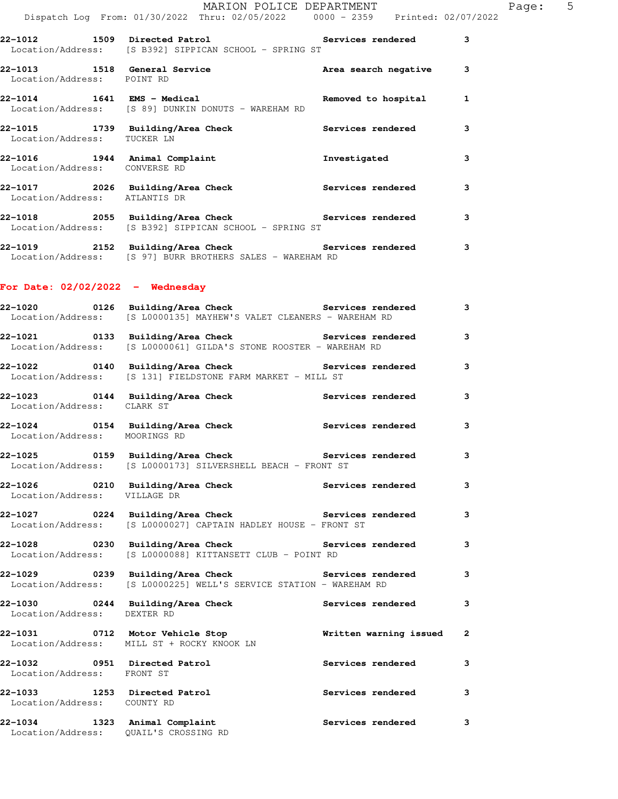|                                    | Dispatch Log From: 01/30/2022 Thru: 02/05/2022   0000 - 2359   Printed: 02/07/2022                                                       | MARION POLICE DEPARTMENT |              | Page: 5 |  |
|------------------------------------|------------------------------------------------------------------------------------------------------------------------------------------|--------------------------|--------------|---------|--|
|                                    | 22-1012 1509 Directed Patrol 1999 Services rendered<br>Location/Address: [S B392] SIPPICAN SCHOOL - SPRING ST                            |                          | 3            |         |  |
| Location/Address: POINT RD         | 22-1013 1518 General Service 1988 area search negative 3                                                                                 |                          |              |         |  |
|                                    | 1641 EMS - Medical Removed to hospital 1<br>Location/Address: [S 89] DUNKIN DONUTS - WAREHAM RD                                          |                          |              |         |  |
|                                    | 22-1015 1739 Building/Area Check Services rendered<br>Location/Address: TUCKER LN                                                        |                          | 3            |         |  |
|                                    | 22-1016 1944 Animal Complaint <b>Investigated</b><br>Location/Address: CONVERSE RD                                                       |                          | 3            |         |  |
| Location/Address: ATLANTIS DR      | 22-1017 2026 Building/Area Check Services rendered                                                                                       |                          | 3            |         |  |
|                                    | 22-1018 2055 Building/Area Check 2010 Services rendered 3<br>Location/Address: [S B392] SIPPICAN SCHOOL - SPRING ST                      |                          |              |         |  |
|                                    | 22-1019 2152 Building/Area Check Services rendered<br>Location/Address: [S 97] BURR BROTHERS SALES - WAREHAM RD                          |                          | 3            |         |  |
| For Date: $02/02/2022 -$ Wednesday |                                                                                                                                          |                          |              |         |  |
|                                    | 22-1020 0126 Building/Area Check <b>Services</b> rendered<br>Location/Address: [S L0000135] MAYHEW'S VALET CLEANERS - WAREHAM RD         |                          | 3            |         |  |
|                                    | 22-1021 		 0133 Building/Area Check 		 Services rendered<br>Location/Address: [S L0000061] GILDA'S STONE ROOSTER - WAREHAM RD            |                          | 3            |         |  |
|                                    | 22-1022 		 0140 Building/Area Check 		 Services rendered<br>Location/Address: [S 131] FIELDSTONE FARM MARKET - MILL ST                   |                          | 3            |         |  |
| Location/Address: CLARK ST         | 22-1023 0144 Building/Area Check Services rendered                                                                                       |                          | 3            |         |  |
| Location/Address: MOORINGS RD      | 22-1024 		 0154 Building/Area Check 		 Services rendered                                                                                 |                          | 3            |         |  |
|                                    | 22-1025       0159   Building/Area Check          Services rendered<br>Location/Address: [S L0000173] SILVERSHELL BEACH - FRONT ST       |                          | 3            |         |  |
| Location/Address: VILLAGE DR       | 22-1026 			 0210 Building/Area Check 			 Services rendered                                                                               |                          | 3            |         |  |
|                                    | 22-1027       0224  Building/Area Check          Services rendered<br>Location/Address: [S L0000027] CAPTAIN HADLEY HOUSE - FRONT ST     |                          | 3            |         |  |
|                                    | 22-1028 		 0230 Building/Area Check 		 Services rendered<br>Location/Address: [S L0000088] KITTANSETT CLUB - POINT RD                    |                          | 3            |         |  |
|                                    | 22-1029       0239  Building/Area Check          Services rendered<br>Location/Address: [S L0000225] WELL'S SERVICE STATION - WAREHAM RD |                          | 3            |         |  |
| Location/Address: DEXTER RD        | 22-1030 6244 Building/Area Check Services rendered                                                                                       |                          | 3            |         |  |
|                                    | 22-1031 10712 Motor Vehicle Stop 10 1 and Written warning issued<br>Location/Address: MILL ST + ROCKY KNOOK LN                           |                          | $\mathbf{2}$ |         |  |
| Location/Address: FRONT ST         | 22-1032 0951 Directed Patrol                                                                                                             | <b>Services rendered</b> | 3            |         |  |

**22-1033 1253 Directed Patrol Services rendered 3**  Location/Address: COUNTY RD **22-1034 1323 Animal Complaint Services rendered 3**  Location/Address: QUAIL'S CROSSING RD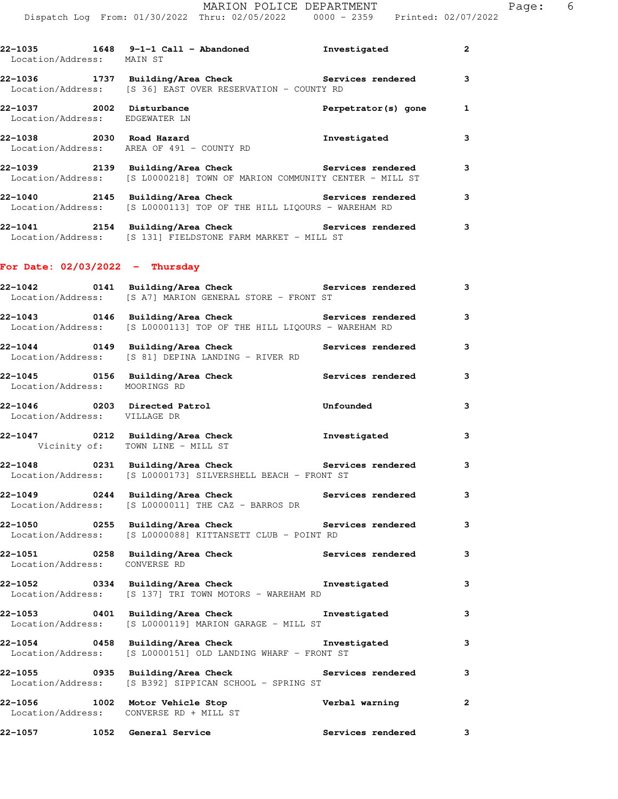**22-1035 1648 9-1-1 Call - Abandoned Investigated 2** 

| 22-1057 1052 General Service                                      |                                                                                                                                          | <b>Services rendered</b>              | 3            |
|-------------------------------------------------------------------|------------------------------------------------------------------------------------------------------------------------------------------|---------------------------------------|--------------|
|                                                                   | Location/Address: CONVERSE RD + MILL ST                                                                                                  | Verbal warning                        | $\mathbf{2}$ |
| 22-1055 0935 Building/Area Check                                  | Location/Address: [S B392] SIPPICAN SCHOOL - SPRING ST                                                                                   | <b>Services rendered</b>              | 3            |
|                                                                   | 22-1054 6458 Building/Area Check the Investigated<br>Location/Address: [S L0000151] OLD LANDING WHARF - FRONT ST                         |                                       | 3            |
| 22-1053 0401 Building/Area Check                                  | Location/Address: [S L0000119] MARION GARAGE - MILL ST                                                                                   | Investigated                          | 3            |
|                                                                   | Location/Address: [S 137] TRI TOWN MOTORS - WAREHAM RD                                                                                   |                                       | 3            |
| 22-1051 0258 Building/Area Check<br>Location/Address: CONVERSE RD |                                                                                                                                          | Services rendered                     | 3            |
|                                                                   | 22-1050 			 0255 Building/Area Check 			 Services rendered<br>Location/Address: [S L0000088] KITTANSETT CLUB - POINT RD                  |                                       | 3            |
|                                                                   | 22-1049 0244 Building/Area Check Services rendered<br>Location/Address: [S L0000011] THE CAZ - BARROS DR                                 |                                       | 3            |
|                                                                   | 22-1048 0231 Building/Area Check Services rendered 3<br>Location/Address: [S L0000173] SILVERSHELL BEACH - FRONT ST                      |                                       |              |
| Vicinity of: TOWN LINE - MILL ST                                  | 22-1047 0212 Building/Area Check <b>The Investigated</b>                                                                                 |                                       | 3            |
| Location/Address: VILLAGE DR                                      | 22-1046 0203 Directed Patrol                                                                                                             | Unfounded                             | 3            |
| Location/Address: MOORINGS RD                                     | 22-1045 		 0156 Building/Area Check 		 Services rendered                                                                                 |                                       | 3            |
|                                                                   | 22-1044 0149 Building/Area Check Services rendered<br>Location/Address: [S 81] DEPINA LANDING - RIVER RD                                 |                                       | 3            |
|                                                                   | 22-1043      0146  Building/Area Check          Services rendered<br>Location/Address: [S L0000113] TOP OF THE HILL LIQOURS - WAREHAM RD |                                       | 3            |
|                                                                   | 22-1042 		 0141 Building/Area Check 		 Services rendered<br>Location/Address: [S A7] MARION GENERAL STORE - FRONT ST                     |                                       | 3            |
| For Date: $02/03/2022 -$ Thursday                                 |                                                                                                                                          |                                       |              |
|                                                                   | 22-1041 2154 Building/Area Check Services rendered<br>Location/Address: [S 131] FIELDSTONE FARM MARKET - MILL ST                         |                                       | 3            |
|                                                                   | 22-1040 2145 Building/Area Check Services rendered<br>Location/Address: [S L0000113] TOP OF THE HILL LIQOURS - WAREHAM RD                |                                       | 3            |
|                                                                   | 22-1039 2139 Building/Area Check Services rendered<br>Location/Address: [S L0000218] TOWN OF MARION COMMUNITY CENTER - MILL ST           |                                       | 3            |
|                                                                   | Location/Address: AREA OF 491 - COUNTY RD                                                                                                |                                       | 3            |
| Location/Address: EDGEWATER LN                                    | 22-1038 2030 Road Hazard                                                                                                                 | Perpetrator(s) gone 1<br>Investigated |              |
| 22-1037 2002 Disturbance                                          | Location/Address: [S 36] EAST OVER RESERVATION - COUNTY RD                                                                               |                                       |              |
| Location/Address: MAIN ST                                         | 22-1036 1737 Building/Area Check <b>Services</b> rendered 3                                                                              |                                       |              |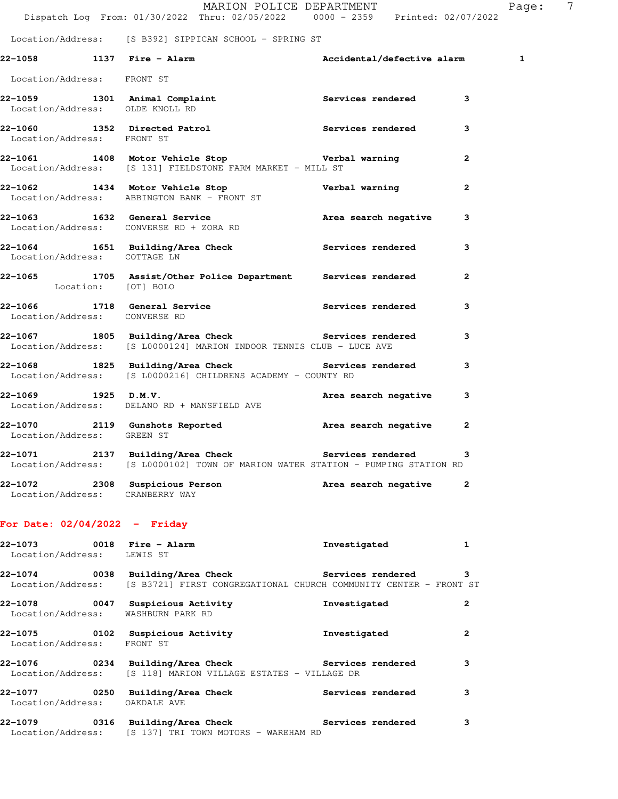|                                 | Dispatch Log From: 01/30/2022 Thru: 02/05/2022 0000 - 2359 Printed: 02/07/2022                                                         | MARION POLICE DEPARTMENT   | Page: 7        |
|---------------------------------|----------------------------------------------------------------------------------------------------------------------------------------|----------------------------|----------------|
|                                 | Location/Address: [S B392] SIPPICAN SCHOOL - SPRING ST                                                                                 |                            |                |
| 22-1058 1137 Fire - Alarm       |                                                                                                                                        | Accidental/defective alarm | $\mathbf{1}$   |
| Location/Address: FRONT ST      |                                                                                                                                        |                            |                |
| Location/Address: OLDE KNOLL RD | 22-1059 1301 Animal Complaint                                                                                                          | Services rendered          | 3              |
| Location/Address: FRONT ST      | 22-1060 1352 Directed Patrol 1 22-1060 Services rendered                                                                               |                            | 3              |
|                                 | 22-1061 1408 Motor Vehicle Stop Nerbal warning<br>Location/Address: [S 131] FIELDSTONE FARM MARKET - MILL ST                           |                            | $\mathbf{2}$   |
|                                 | 22-1062 1434 Motor Vehicle Stop<br>Location/Address: ABBINGTON BANK - FRONT ST                                                         | Verbal warning             | $\mathbf{2}$   |
|                                 | 22-1063 1632 General Service<br>Location/Address: CONVERSE RD + ZORA RD                                                                | Area search negative       | 3              |
| Location/Address: COTTAGE LN    | 22-1064 1651 Building/Area Check 1997 Services rendered                                                                                |                            | 3              |
| Location: [OT] BOLO             | 22-1065 1705 Assist/Other Police Department Services rendered                                                                          |                            | $\overline{2}$ |
| Location/Address: CONVERSE RD   | 22-1066 1718 General Service <b>18 Services</b> Services rendered                                                                      |                            | 3              |
|                                 | 22-1067 1805 Building/Area Check Services rendered<br>Location/Address: [S L0000124] MARION INDOOR TENNIS CLUB - LUCE AVE              |                            | 3              |
|                                 | 22-1068 1825 Building/Area Check Services rendered<br>Location/Address: [S L0000216] CHILDRENS ACADEMY - COUNTY RD                     |                            | 3              |
| 22-1069 1925 D.M.V.             | Location/Address: DELANO RD + MANSFIELD AVE                                                                                            | Area search negative       | 3              |
| Location/Address: GREEN ST      | 22-1070 2119 Gunshots Reported and Area search negative                                                                                |                            | $\mathbf{2}$   |
|                                 | 22-1071 2137 Building/Area Check Services rendered<br>Location/Address: [S L0000102] TOWN OF MARION WATER STATION - PUMPING STATION RD |                            | 3              |
| Location/Address: CRANBERRY WAY | 22-1072 2308 Suspicious Person <b>Area search negative</b> 2                                                                           |                            |                |
|                                 |                                                                                                                                        |                            |                |

# **For Date: 02/04/2022 - Friday**

| Location/Address: LEWIS ST                                     |                                                                                                                                   | Investigated      | 1              |
|----------------------------------------------------------------|-----------------------------------------------------------------------------------------------------------------------------------|-------------------|----------------|
| 22-1074                                                        | 0038 Building/Area Check Services rendered<br>Location/Address: [S B3721] FIRST CONGREGATIONAL CHURCH COMMUNITY CENTER - FRONT ST |                   | 3              |
| 22-1078 0047 Suspicious Activity<br>Location/Address:          | WASHBURN PARK RD                                                                                                                  | Investigated      | $\overline{2}$ |
| 22-1075 0102 Suspicious Activity<br>Location/Address: FRONT ST |                                                                                                                                   | Investigated      | 2              |
|                                                                | 22-1076 		 0234 Building/Area Check 		 Services rendered<br>  Location/Address: [S 118] MARION VILLAGE ESTATES - VILLAGE DR       |                   | 3              |
| 22-1077<br>Location/Address:                                   | 0250 Building/Area Check<br>OAKDALE AVE                                                                                           | Services rendered | 3              |
| 22-1079                                                        | 0316 Building/Area Check Services rendered<br>Location/Address: [S 137] TRI TOWN MOTORS - WAREHAM RD                              |                   | 3              |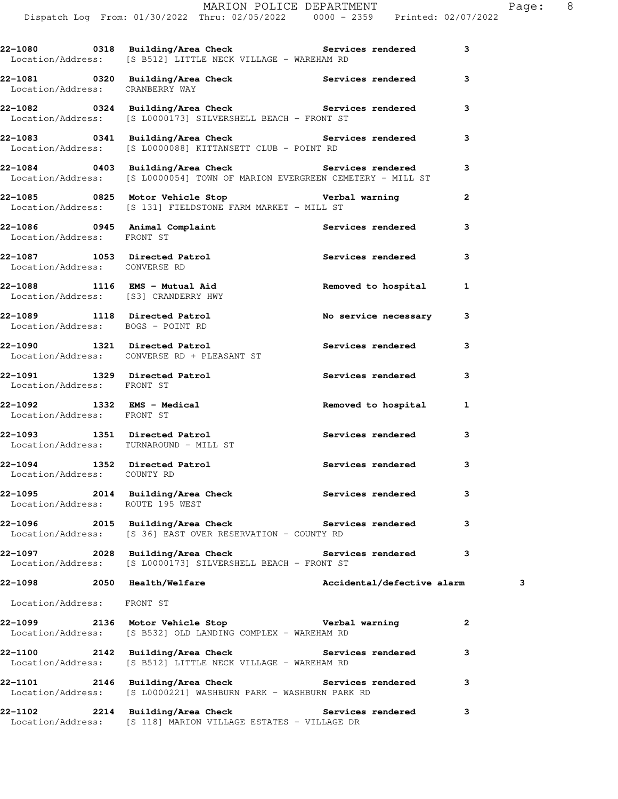|                                        | Dispatch Log From: 01/30/2022 Thru: 02/05/2022 0000 - 2359 Printed: 02/07/2022                                                         |                            |                         |   |
|----------------------------------------|----------------------------------------------------------------------------------------------------------------------------------------|----------------------------|-------------------------|---|
|                                        | 22-1080 0318 Building/Area Check Services rendered 3<br>Location/Address: [S B512] LITTLE NECK VILLAGE - WAREHAM RD                    |                            |                         |   |
|                                        | 22-1081 0320 Building/Area Check Services rendered 3<br>Location/Address: CRANBERRY WAY                                                |                            |                         |   |
|                                        | 22-1082 0324 Building/Area Check Services rendered<br>Location/Address: [S L0000173] SILVERSHELL BEACH - FRONT ST                      |                            | 3                       |   |
|                                        | 22-1083 0341 Building/Area Check Services rendered<br>Location/Address: [S L0000088] KITTANSETT CLUB - POINT RD                        |                            | 3                       |   |
|                                        | 22-1084 		 0403 Building/Area Check 		 Services rendered<br>Location/Address: [S L0000054] TOWN OF MARION EVERGREEN CEMETERY - MILL ST |                            | 3                       |   |
|                                        | 22-1085 10825 Motor Vehicle Stop 10 10 Verbal warning<br>Location/Address: [S 131] FIELDSTONE FARM MARKET - MILL ST                    |                            | $\overline{2}$          |   |
| Location/Address: FRONT ST             | 22-1086 0945 Animal Complaint Services rendered 3                                                                                      |                            |                         |   |
| Location/Address: CONVERSE RD          | 22-1087 1053 Directed Patrol 22-1087 rendered                                                                                          |                            | 3                       |   |
|                                        | 22-1088 1116 EMS - Mutual Aid<br>Location/Address: [S3] CRANDERRY HWY                                                                  | Removed to hospital 1      |                         |   |
| Location/Address: BOGS - POINT RD      | 22-1089 1118 Directed Patrol                                                                                                           | No service necessary       | 3                       |   |
|                                        | 22-1090 1321 Directed Patrol<br>Location/Address: CONVERSE RD + PLEASANT ST                                                            | Services rendered          | 3                       |   |
| Location/Address: FRONT ST             | 22-1091 1329 Directed Patrol 120 Services rendered                                                                                     |                            | 3                       |   |
| Location/Address: FRONT ST             |                                                                                                                                        |                            | 1                       |   |
| Location/Address: TURNAROUND - MILL ST | 22-1093 1351 Directed Patrol                                                                                                           | Services rendered 3        |                         |   |
| Location/Address: COUNTY RD            | 22-1094 1352 Directed Patrol                                                                                                           | Services rendered          | $\overline{\mathbf{3}}$ |   |
| Location/Address: ROUTE 195 WEST       | 22-1095 2014 Building/Area Check Services rendered                                                                                     |                            | 3                       |   |
|                                        | 22-1096 2015 Building/Area Check Services rendered 3<br>Location/Address: [S 36] EAST OVER RESERVATION - COUNTY RD                     |                            |                         |   |
|                                        | 22-1097 2028 Building/Area Check Services rendered<br>Location/Address: [S L0000173] SILVERSHELL BEACH - FRONT ST                      |                            | 3                       |   |
|                                        | 22-1098 2050 Health/Welfare                                                                                                            | Accidental/defective alarm |                         | з |
| Location/Address: FRONT ST             |                                                                                                                                        |                            |                         |   |
|                                        | Location/Address: [S B532] OLD LANDING COMPLEX - WAREHAM RD                                                                            |                            | $\mathbf{2}$            |   |
|                                        | 22-1100 2142 Building/Area Check Services rendered<br>Location/Address: [S B512] LITTLE NECK VILLAGE - WAREHAM RD                      |                            | 3                       |   |
|                                        | 22-1101 2146 Building/Area Check Services rendered 3<br>Location/Address: [S L0000221] WASHBURN PARK - WASHBURN PARK RD                |                            |                         |   |
|                                        | 22-1102 2214 Building/Area Check Services rendered<br>Location/Address: [S 118] MARION VILLAGE ESTATES - VILLAGE DR                    |                            | 3                       |   |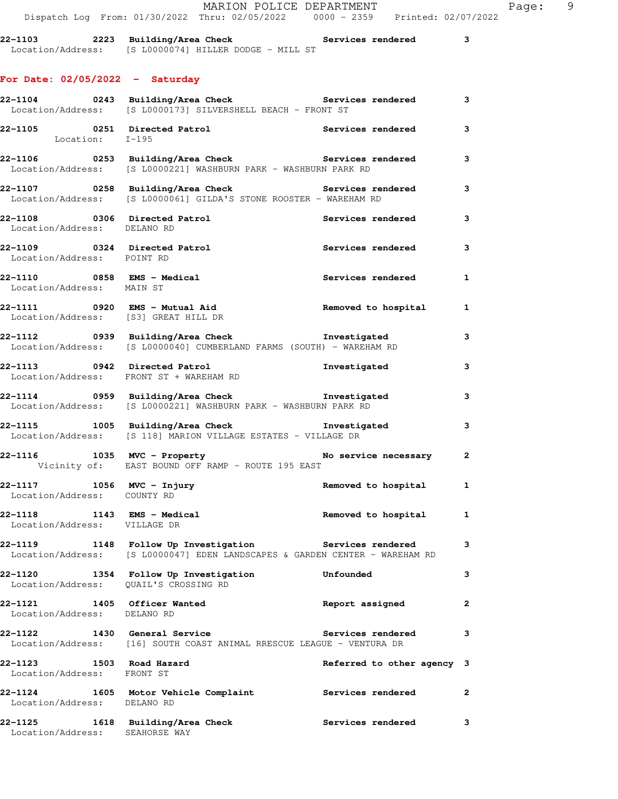| 22-1103           | 2223 Building/Area Check |                                     |  | Services rendered |  |
|-------------------|--------------------------|-------------------------------------|--|-------------------|--|
| Location/Address: |                          | [S L0000074] HILLER DODGE - MILL ST |  |                   |  |

# **For Date: 02/05/2022 - Saturday**

|                                                             | 22-1104 0243 Building/Area Check 5 Services rendered 3<br>Location/Address: [S L0000173] SILVERSHELL BEACH - FRONT ST                 |                            |              |
|-------------------------------------------------------------|---------------------------------------------------------------------------------------------------------------------------------------|----------------------------|--------------|
|                                                             | 22-1105 0251 Directed Patrol 22-1105 Services rendered Location: I-195                                                                |                            | 3            |
|                                                             | 22-1106 0253 Building/Area Check Services rendered<br>Location/Address: [S L0000221] WASHBURN PARK - WASHBURN PARK RD                 |                            | $\mathbf{3}$ |
|                                                             | 22-1107 0258 Building/Area Check Services rendered<br>Location/Address: [S L0000061] GILDA'S STONE ROOSTER - WAREHAM RD               |                            | 3            |
| 22-1108 0306 Directed Patrol<br>Location/Address: DELANO RD |                                                                                                                                       | Services rendered          | 3            |
| Location/Address: POINT RD                                  | 22-1109 0324 Directed Patrol                                                                                                          | Services rendered          | 3            |
| 22-1110 0858 EMS - Medical<br>Location/Address: MAIN ST     |                                                                                                                                       | Services rendered          | $\mathbf{1}$ |
|                                                             |                                                                                                                                       | Removed to hospital 1      |              |
|                                                             | 22-1112 0939 Building/Area Check <b>The Investigated</b><br>Location/Address: [S L0000040] CUMBERLAND FARMS (SOUTH) - WAREHAM RD      |                            | 3            |
|                                                             | 22-1113 0942 Directed Patrol<br>Location/Address: FRONT ST + WAREHAM RD                                                               | Investigated               | 3            |
|                                                             | 22-1114 0959 Building/Area Check <b>The Investigated</b><br>Location/Address: [S L0000221] WASHBURN PARK - WASHBURN PARK RD           |                            | 3            |
|                                                             | 22-1115 1005 Building/Area Check the Investigated<br>Location/Address: [S 118] MARION VILLAGE ESTATES - VILLAGE DR                    |                            | $\mathbf{3}$ |
|                                                             | 22-1116 1035 MVC - Property <b>128 Million</b> No service necessary 2<br>Vicinity of: EAST BOUND OFF RAMP - ROUTE 195 EAST            |                            |              |
| 22-1117 1056 MVC - Injury<br>Location/Address: COUNTY RD    |                                                                                                                                       | Removed to hospital 1      |              |
| Location/Address: VILLAGE DR                                | 22-1118 1143 EMS - Medical 1 1 22-1118 Removed to hospital 1                                                                          |                            |              |
|                                                             | 22-1119 1148 Follow Up Investigation Services rendered<br>Location/Address: [S L0000047] EDEN LANDSCAPES & GARDEN CENTER - WAREHAM RD |                            | $\mathbf{3}$ |
| Location/Address: QUAIL'S CROSSING RD                       | 22-1120 1354 Follow Up Investigation                                                                                                  | Unfounded                  | 3            |
| 22-1121<br>Location/Address: DELANO RD                      | 1405 Officer Wanted                                                                                                                   | Report assigned            | $\mathbf{2}$ |
| 22-1122 1430 General Service                                | Location/Address: [16] SOUTH COAST ANIMAL RRESCUE LEAGUE - VENTURA DR                                                                 | Services rendered          | 3            |
| 22-1123<br>Location/Address: FRONT ST                       | 1503 Road Hazard                                                                                                                      | Referred to other agency 3 |              |
| Location/Address: DELANO RD                                 | 22-1124 1605 Motor Vehicle Complaint Services rendered                                                                                |                            | 2            |
| 22-1125<br>Location/Address: SEAHORSE WAY                   | 1618 Building/Area Check                                                                                                              | <b>Services rendered</b>   | 3            |